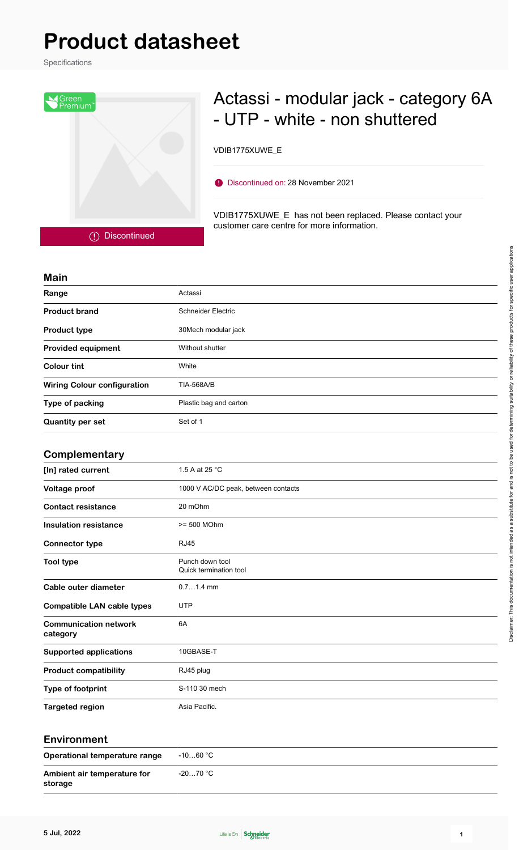## **Product datasheet**

Specifications



## Actassi - modular jack - category 6A - UTP - white - non shuttered

VDIB1775XUWE\_E

Discontinued on: 28 November 2021

VDIB1775XUWE\_E has not been replaced. Please contact your customer care centre for more information.

Discontinued

| <b>Main</b>                              |                                           |  |  |  |  |
|------------------------------------------|-------------------------------------------|--|--|--|--|
| Range                                    | Actassi                                   |  |  |  |  |
| <b>Product brand</b>                     | <b>Schneider Electric</b>                 |  |  |  |  |
| <b>Product type</b>                      | 30Mech modular jack                       |  |  |  |  |
| <b>Provided equipment</b>                | Without shutter                           |  |  |  |  |
| <b>Colour tint</b>                       | White                                     |  |  |  |  |
| <b>Wiring Colour configuration</b>       | <b>TIA-568A/B</b>                         |  |  |  |  |
| Type of packing                          | Plastic bag and carton                    |  |  |  |  |
| <b>Quantity per set</b>                  | Set of 1                                  |  |  |  |  |
|                                          |                                           |  |  |  |  |
| Complementary                            |                                           |  |  |  |  |
| [In] rated current                       | 1.5 A at 25 °C                            |  |  |  |  |
| Voltage proof                            | 1000 V AC/DC peak, between contacts       |  |  |  |  |
| <b>Contact resistance</b>                | 20 mOhm                                   |  |  |  |  |
| <b>Insulation resistance</b>             | >= 500 MOhm                               |  |  |  |  |
| <b>Connector type</b>                    | <b>RJ45</b>                               |  |  |  |  |
| <b>Tool type</b>                         | Punch down tool<br>Quick termination tool |  |  |  |  |
| Cable outer diameter                     | $0.71.4$ mm                               |  |  |  |  |
| <b>Compatible LAN cable types</b>        | <b>UTP</b>                                |  |  |  |  |
| <b>Communication network</b><br>category | 6A                                        |  |  |  |  |
| <b>Supported applications</b>            | 10GBASE-T                                 |  |  |  |  |
| <b>Product compatibility</b>             | RJ45 plug                                 |  |  |  |  |
| Type of footprint                        | S-110 30 mech                             |  |  |  |  |
| <b>Targeted region</b>                   | Asia Pacific.                             |  |  |  |  |
|                                          |                                           |  |  |  |  |

## **Environment**

| Operational temperature range          | -10…60 °C |
|----------------------------------------|-----------|
| Ambient air temperature for<br>storage | -20…70 °C |